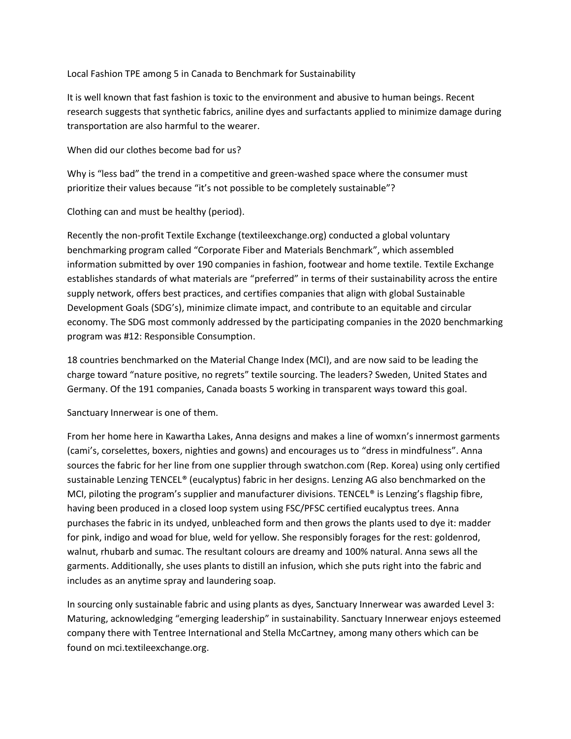Local Fashion TPE among 5 in Canada to Benchmark for Sustainability

It is well known that fast fashion is toxic to the environment and abusive to human beings. Recent research suggests that synthetic fabrics, aniline dyes and surfactants applied to minimize damage during transportation are also harmful to the wearer.

When did our clothes become bad for us?

Why is "less bad" the trend in a competitive and green-washed space where the consumer must prioritize their values because "it's not possible to be completely sustainable"?

Clothing can and must be healthy (period).

Recently the non-profit Textile Exchange (textileexchange.org) conducted a global voluntary benchmarking program called "Corporate Fiber and Materials Benchmark", which assembled information submitted by over 190 companies in fashion, footwear and home textile. Textile Exchange establishes standards of what materials are "preferred" in terms of their sustainability across the entire supply network, offers best practices, and certifies companies that align with global Sustainable Development Goals (SDG's), minimize climate impact, and contribute to an equitable and circular economy. The SDG most commonly addressed by the participating companies in the 2020 benchmarking program was #12: Responsible Consumption.

18 countries benchmarked on the Material Change Index (MCI), and are now said to be leading the charge toward "nature positive, no regrets" textile sourcing. The leaders? Sweden, United States and Germany. Of the 191 companies, Canada boasts 5 working in transparent ways toward this goal.

Sanctuary Innerwear is one of them.

From her home here in Kawartha Lakes, Anna designs and makes a line of womxn's innermost garments (cami's, corselettes, boxers, nighties and gowns) and encourages us to "dress in mindfulness". Anna sources the fabric for her line from one supplier through swatchon.com (Rep. Korea) using only certified sustainable Lenzing TENCEL® (eucalyptus) fabric in her designs. Lenzing AG also benchmarked on the MCI, piloting the program's supplier and manufacturer divisions. TENCEL® is Lenzing's flagship fibre, having been produced in a closed loop system using FSC/PFSC certified eucalyptus trees. Anna purchases the fabric in its undyed, unbleached form and then grows the plants used to dye it: madder for pink, indigo and woad for blue, weld for yellow. She responsibly forages for the rest: goldenrod, walnut, rhubarb and sumac. The resultant colours are dreamy and 100% natural. Anna sews all the garments. Additionally, she uses plants to distill an infusion, which she puts right into the fabric and includes as an anytime spray and laundering soap.

In sourcing only sustainable fabric and using plants as dyes, Sanctuary Innerwear was awarded Level 3: Maturing, acknowledging "emerging leadership" in sustainability. Sanctuary Innerwear enjoys esteemed company there with Tentree International and Stella McCartney, among many others which can be found on mci.textileexchange.org.